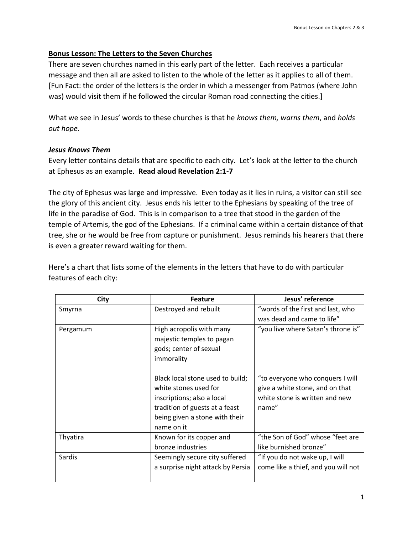# **Bonus Lesson: The Letters to the Seven Churches**

There are seven churches named in this early part of the letter. Each receives a particular message and then all are asked to listen to the whole of the letter as it applies to all of them. [Fun Fact: the order of the letters is the order in which a messenger from Patmos (where John was) would visit them if he followed the circular Roman road connecting the cities.]

What we see in Jesus' words to these churches is that he *knows them, warns them*, and *holds out hope.* 

## *Jesus Knows Them*

Every letter contains details that are specific to each city. Let's look at the letter to the church at Ephesus as an example. **Read aloud Revelation 2:1-7**

The city of Ephesus was large and impressive. Even today as it lies in ruins, a visitor can still see the glory of this ancient city. Jesus ends his letter to the Ephesians by speaking of the tree of life in the paradise of God. This is in comparison to a tree that stood in the garden of the temple of Artemis, the god of the Ephesians. If a criminal came within a certain distance of that tree, she or he would be free from capture or punishment. Jesus reminds his hearers that there is even a greater reward waiting for them.

Here's a chart that lists some of the elements in the letters that have to do with particular features of each city:

| <b>City</b> | <b>Feature</b>                                                                                                                                                            | Jesus' reference                                                                                               |
|-------------|---------------------------------------------------------------------------------------------------------------------------------------------------------------------------|----------------------------------------------------------------------------------------------------------------|
| Smyrna      | Destroyed and rebuilt                                                                                                                                                     | "words of the first and last, who                                                                              |
|             |                                                                                                                                                                           | was dead and came to life"                                                                                     |
| Pergamum    | High acropolis with many<br>majestic temples to pagan<br>gods; center of sexual<br>immorality                                                                             | "you live where Satan's throne is"                                                                             |
|             | Black local stone used to build;<br>white stones used for<br>inscriptions; also a local<br>tradition of guests at a feast<br>being given a stone with their<br>name on it | "to everyone who conquers I will<br>give a white stone, and on that<br>white stone is written and new<br>name" |
| Thyatira    | Known for its copper and<br>bronze industries                                                                                                                             | "the Son of God" whose "feet are<br>like burnished bronze"                                                     |
| Sardis      | Seemingly secure city suffered<br>a surprise night attack by Persia                                                                                                       | "If you do not wake up, I will<br>come like a thief, and you will not                                          |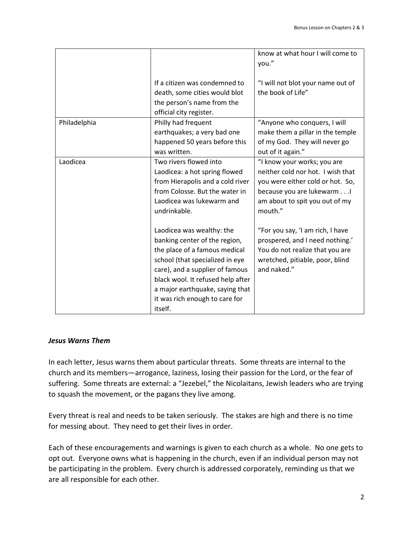|              |                                                                                                                                                                                                                                                                                        | know at what hour I will come to<br>you."                                                                                                                                       |
|--------------|----------------------------------------------------------------------------------------------------------------------------------------------------------------------------------------------------------------------------------------------------------------------------------------|---------------------------------------------------------------------------------------------------------------------------------------------------------------------------------|
|              | If a citizen was condemned to<br>death, some cities would blot<br>the person's name from the<br>official city register.                                                                                                                                                                | "I will not blot your name out of<br>the book of Life"                                                                                                                          |
| Philadelphia | Philly had frequent<br>earthquakes; a very bad one<br>happened 50 years before this<br>was written.                                                                                                                                                                                    | "Anyone who conquers, I will<br>make them a pillar in the temple<br>of my God. They will never go<br>out of it again."                                                          |
| Laodicea     | Two rivers flowed into<br>Laodicea: a hot spring flowed<br>from Hierapolis and a cold river<br>from Colosse. But the water in<br>Laodicea was lukewarm and<br>undrinkable.                                                                                                             | "I know your works; you are<br>neither cold nor hot. I wish that<br>you were either cold or hot. So,<br>because you are lukewarm I<br>am about to spit you out of my<br>mouth." |
|              | Laodicea was wealthy: the<br>banking center of the region,<br>the place of a famous medical<br>school (that specialized in eye<br>care), and a supplier of famous<br>black wool. It refused help after<br>a major earthquake, saying that<br>it was rich enough to care for<br>itself. | "For you say, 'I am rich, I have<br>prospered, and I need nothing.'<br>You do not realize that you are<br>wretched, pitiable, poor, blind<br>and naked."                        |

## *Jesus Warns Them*

In each letter, Jesus warns them about particular threats. Some threats are internal to the church and its members—arrogance, laziness, losing their passion for the Lord, or the fear of suffering. Some threats are external: a "Jezebel," the Nicolaitans, Jewish leaders who are trying to squash the movement, or the pagans they live among.

Every threat is real and needs to be taken seriously. The stakes are high and there is no time for messing about. They need to get their lives in order.

Each of these encouragements and warnings is given to each church as a whole. No one gets to opt out. Everyone owns what is happening in the church, even if an individual person may not be participating in the problem. Every church is addressed corporately, reminding us that we are all responsible for each other.